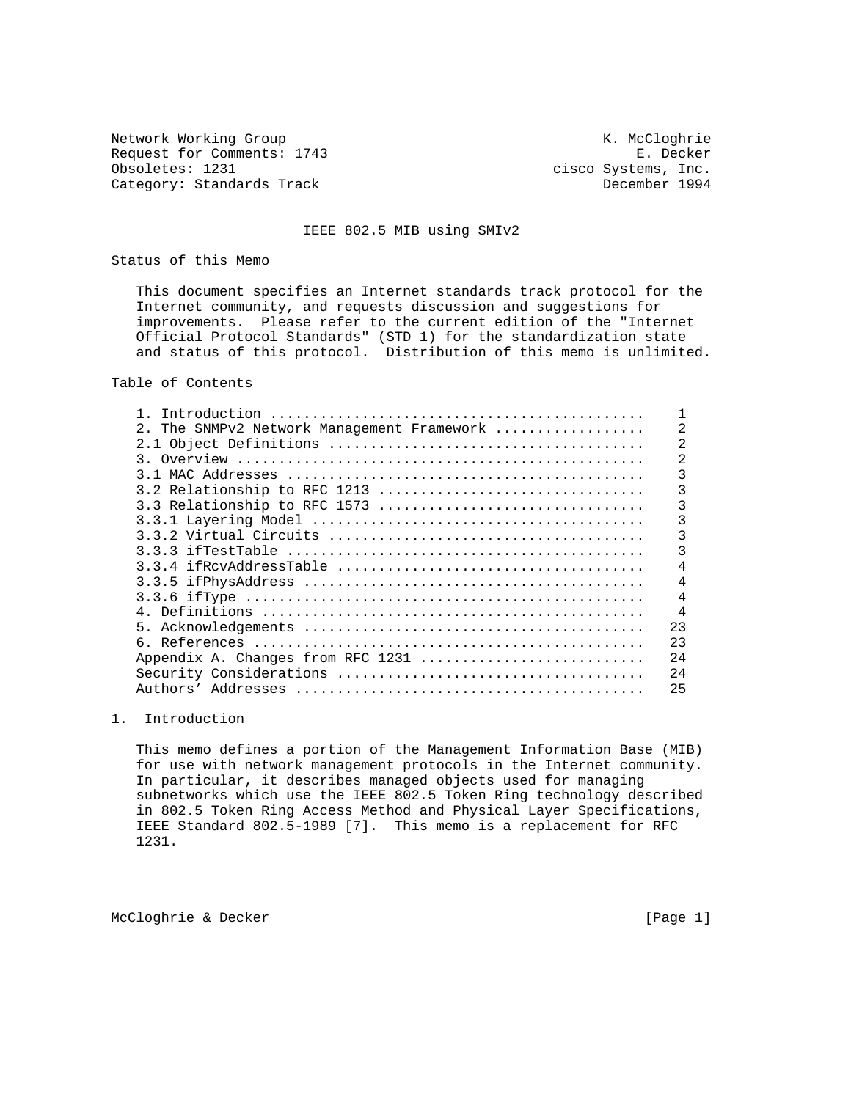Network Working Group Network Working Group Network Working Group Request for Comments: 1743 E. Decker<br>Obsoletes: 1231 cisco Systems, Inc. Category: Standards Track

cisco Systems, Inc.<br>December 1994

### IEEE 802.5 MIB using SMIv2

Status of this Memo

 This document specifies an Internet standards track protocol for the Internet community, and requests discussion and suggestions for improvements. Please refer to the current edition of the "Internet Official Protocol Standards" (STD 1) for the standardization state and status of this protocol. Distribution of this memo is unlimited.

Table of Contents

| Introduction                                           |     |
|--------------------------------------------------------|-----|
| $2^{\circ}$<br>The SNMPv2 Network Management Framework |     |
|                                                        | 2   |
| Overview<br>२                                          | 2   |
|                                                        | 3   |
|                                                        | 3   |
| 3.3 Relationship to RFC 1573                           | 3   |
|                                                        | 3   |
|                                                        | 3   |
|                                                        | 3   |
|                                                        |     |
|                                                        |     |
|                                                        | 4   |
|                                                        | 4   |
|                                                        | 23  |
|                                                        | 23  |
| Appendix A. Changes from RFC 1231                      | 2.4 |
|                                                        | 24  |
| Authors'                                               | 25  |
|                                                        |     |

# 1. Introduction

 This memo defines a portion of the Management Information Base (MIB) for use with network management protocols in the Internet community. In particular, it describes managed objects used for managing subnetworks which use the IEEE 802.5 Token Ring technology described in 802.5 Token Ring Access Method and Physical Layer Specifications, IEEE Standard 802.5-1989 [7]. This memo is a replacement for RFC 1231.

McCloghrie & Decker [Page 1]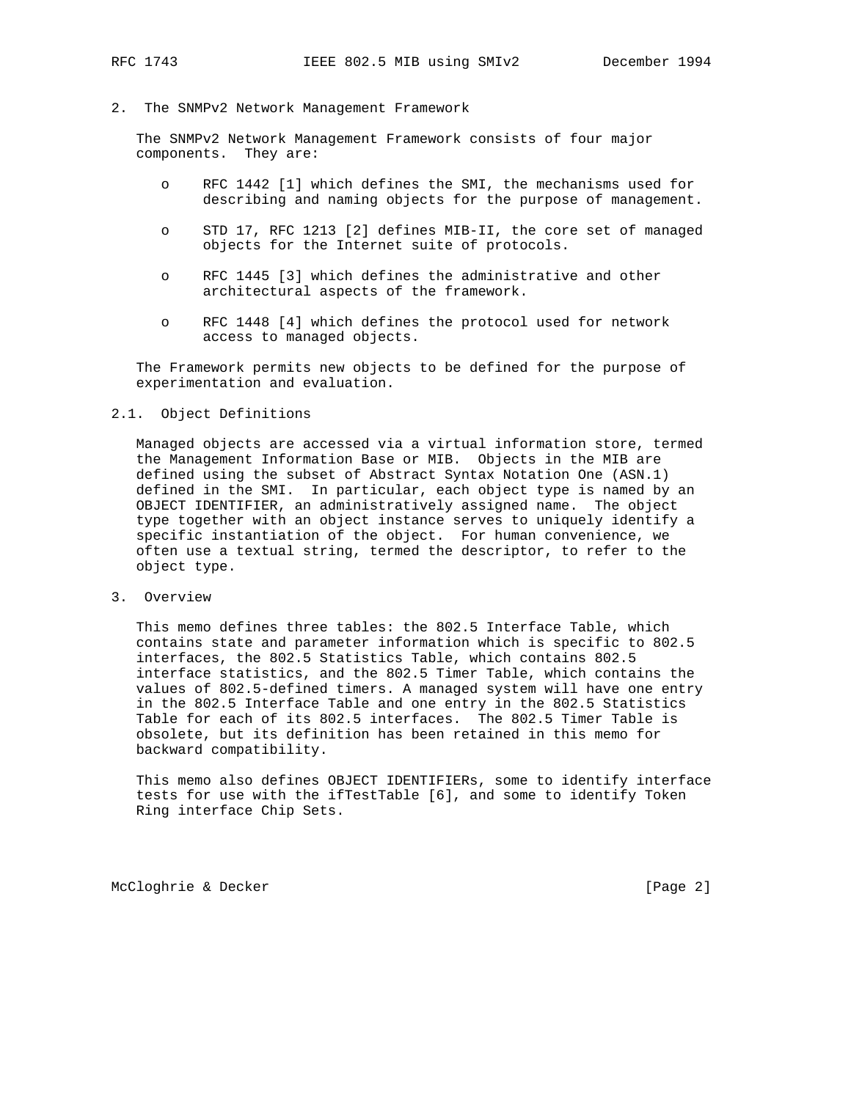### 2. The SNMPv2 Network Management Framework

 The SNMPv2 Network Management Framework consists of four major components. They are:

- o RFC 1442 [1] which defines the SMI, the mechanisms used for describing and naming objects for the purpose of management.
- o STD 17, RFC 1213 [2] defines MIB-II, the core set of managed objects for the Internet suite of protocols.
- o RFC 1445 [3] which defines the administrative and other architectural aspects of the framework.
- o RFC 1448 [4] which defines the protocol used for network access to managed objects.

 The Framework permits new objects to be defined for the purpose of experimentation and evaluation.

# 2.1. Object Definitions

 Managed objects are accessed via a virtual information store, termed the Management Information Base or MIB. Objects in the MIB are defined using the subset of Abstract Syntax Notation One (ASN.1) defined in the SMI. In particular, each object type is named by an OBJECT IDENTIFIER, an administratively assigned name. The object type together with an object instance serves to uniquely identify a specific instantiation of the object. For human convenience, we often use a textual string, termed the descriptor, to refer to the object type.

3. Overview

 This memo defines three tables: the 802.5 Interface Table, which contains state and parameter information which is specific to 802.5 interfaces, the 802.5 Statistics Table, which contains 802.5 interface statistics, and the 802.5 Timer Table, which contains the values of 802.5-defined timers. A managed system will have one entry in the 802.5 Interface Table and one entry in the 802.5 Statistics Table for each of its 802.5 interfaces. The 802.5 Timer Table is obsolete, but its definition has been retained in this memo for backward compatibility.

 This memo also defines OBJECT IDENTIFIERs, some to identify interface tests for use with the ifTestTable [6], and some to identify Token Ring interface Chip Sets.

McCloghrie & Decker [Page 2]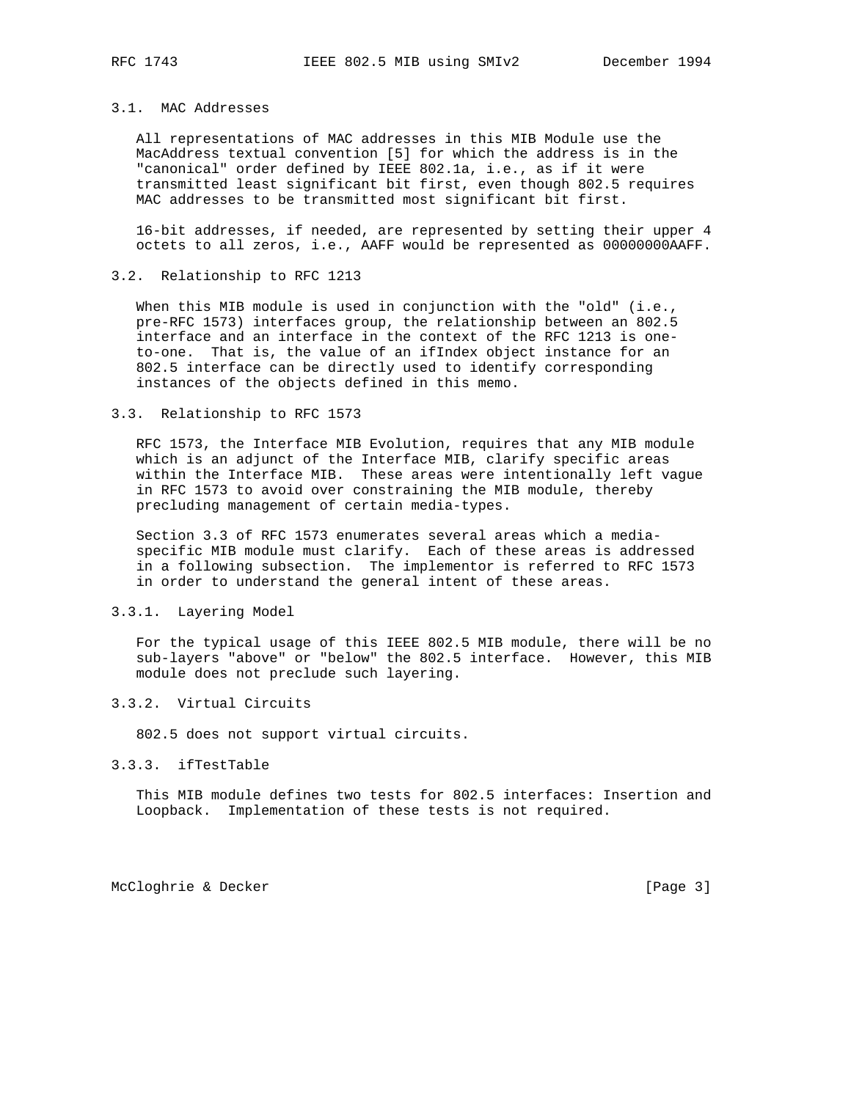# 3.1. MAC Addresses

 All representations of MAC addresses in this MIB Module use the MacAddress textual convention [5] for which the address is in the "canonical" order defined by IEEE 802.1a, i.e., as if it were transmitted least significant bit first, even though 802.5 requires MAC addresses to be transmitted most significant bit first.

 16-bit addresses, if needed, are represented by setting their upper 4 octets to all zeros, i.e., AAFF would be represented as 00000000AAFF.

### 3.2. Relationship to RFC 1213

When this MIB module is used in conjunction with the "old" (i.e., pre-RFC 1573) interfaces group, the relationship between an 802.5 interface and an interface in the context of the RFC 1213 is one to-one. That is, the value of an ifIndex object instance for an 802.5 interface can be directly used to identify corresponding instances of the objects defined in this memo.

#### 3.3. Relationship to RFC 1573

 RFC 1573, the Interface MIB Evolution, requires that any MIB module which is an adjunct of the Interface MIB, clarify specific areas within the Interface MIB. These areas were intentionally left vague in RFC 1573 to avoid over constraining the MIB module, thereby precluding management of certain media-types.

 Section 3.3 of RFC 1573 enumerates several areas which a media specific MIB module must clarify. Each of these areas is addressed in a following subsection. The implementor is referred to RFC 1573 in order to understand the general intent of these areas.

# 3.3.1. Layering Model

 For the typical usage of this IEEE 802.5 MIB module, there will be no sub-layers "above" or "below" the 802.5 interface. However, this MIB module does not preclude such layering.

# 3.3.2. Virtual Circuits

802.5 does not support virtual circuits.

# 3.3.3. ifTestTable

 This MIB module defines two tests for 802.5 interfaces: Insertion and Loopback. Implementation of these tests is not required.

McCloghrie & Decker [Page 3]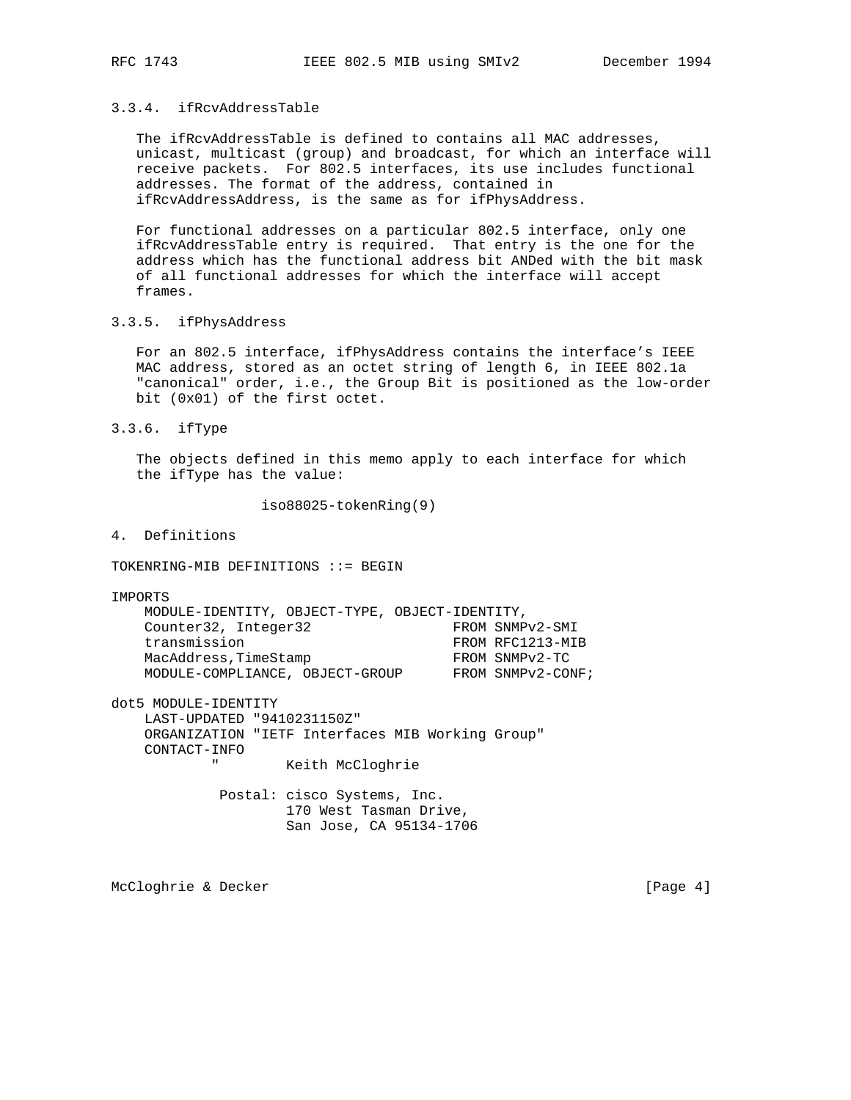# 3.3.4. ifRcvAddressTable

 The ifRcvAddressTable is defined to contains all MAC addresses, unicast, multicast (group) and broadcast, for which an interface will receive packets. For 802.5 interfaces, its use includes functional addresses. The format of the address, contained in ifRcvAddressAddress, is the same as for ifPhysAddress.

 For functional addresses on a particular 802.5 interface, only one ifRcvAddressTable entry is required. That entry is the one for the address which has the functional address bit ANDed with the bit mask of all functional addresses for which the interface will accept frames.

## 3.3.5. ifPhysAddress

 For an 802.5 interface, ifPhysAddress contains the interface's IEEE MAC address, stored as an octet string of length 6, in IEEE 802.1a "canonical" order, i.e., the Group Bit is positioned as the low-order bit (0x01) of the first octet.

3.3.6. ifType

 The objects defined in this memo apply to each interface for which the ifType has the value:

iso88025-tokenRing(9)

4. Definitions

TOKENRING-MIB DEFINITIONS ::= BEGIN

IMPORTS

| Counter32, Integer32<br>FROM SNMPv2-SMI              |  |
|------------------------------------------------------|--|
|                                                      |  |
| transmission<br>FROM RFC1213-MIB                     |  |
| MacAddress, TimeStamp<br>FROM SNMPv2-TC              |  |
| FROM SNMPv2-CONF;<br>MODULE-COMPLIANCE, OBJECT-GROUP |  |

dot5 MODULE-IDENTITY

 LAST-UPDATED "9410231150Z" ORGANIZATION "IETF Interfaces MIB Working Group" CONTACT-INFO " Keith McCloghrie

> Postal: cisco Systems, Inc. 170 West Tasman Drive, San Jose, CA 95134-1706

McCloghrie & Decker [Page 4]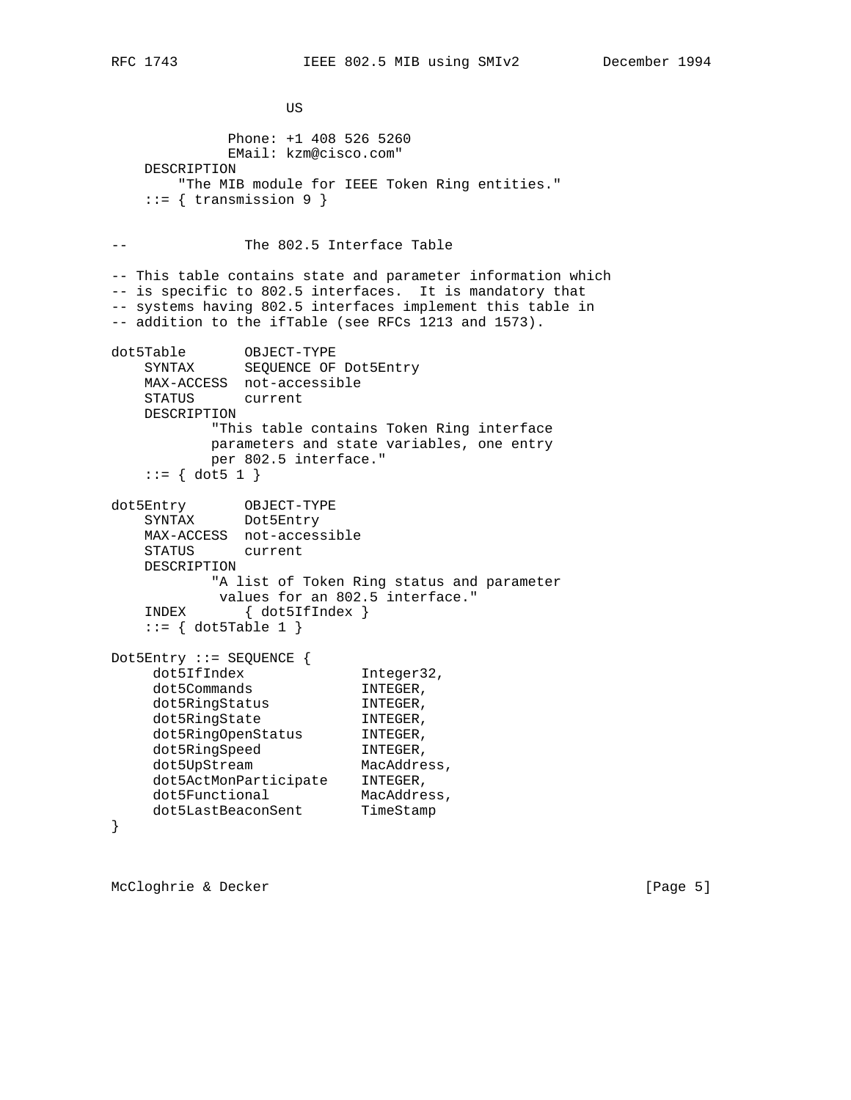US DE L'ANGELIA DE L'ANGELIA DE L'ANGELIA DE L'ANGELIA DE L'ANGELIA DE L'ANGELIA DE L'ANGELIA DE L'ANGELIA DE Phone: +1 408 526 5260 EMail: kzm@cisco.com" DESCRIPTION "The MIB module for IEEE Token Ring entities."  $::=$  { transmission 9 } -- The 802.5 Interface Table -- This table contains state and parameter information which -- is specific to 802.5 interfaces. It is mandatory that -- systems having 802.5 interfaces implement this table in -- addition to the ifTable (see RFCs 1213 and 1573). dot5Table OBJECT-TYPE SYNTAX SEQUENCE OF Dot5Entry MAX-ACCESS not-accessible STATUS current DESCRIPTION "This table contains Token Ring interface parameters and state variables, one entry per 802.5 interface."  $::= \{ dot5 1 \}$ dot5Entry OBJECT-TYPE SYNTAX Dot5Entry MAX-ACCESS not-accessible STATUS current DESCRIPTION "A list of Token Ring status and parameter values for an 802.5 interface." INDEX { dot5IfIndex }  $::= \{ dot5Table 1 \}$ Dot5Entry ::= SEQUENCE { dot5IfIndex Integer32, dot5Commands INTEGER,<br>dot5RingStatus INTEGER, dot5RingStatus INTEGER, dot5RingState INTEGER, dot5RingOpenStatus INTEGER, dot5RingSpeed INTEGER, dot5UpStream MacAddress, dot5ActMonParticipate INTEGER, dot5Functional MacAddress, dot5LastBeaconSent TimeStamp }

McCloghrie & Decker [Page 5]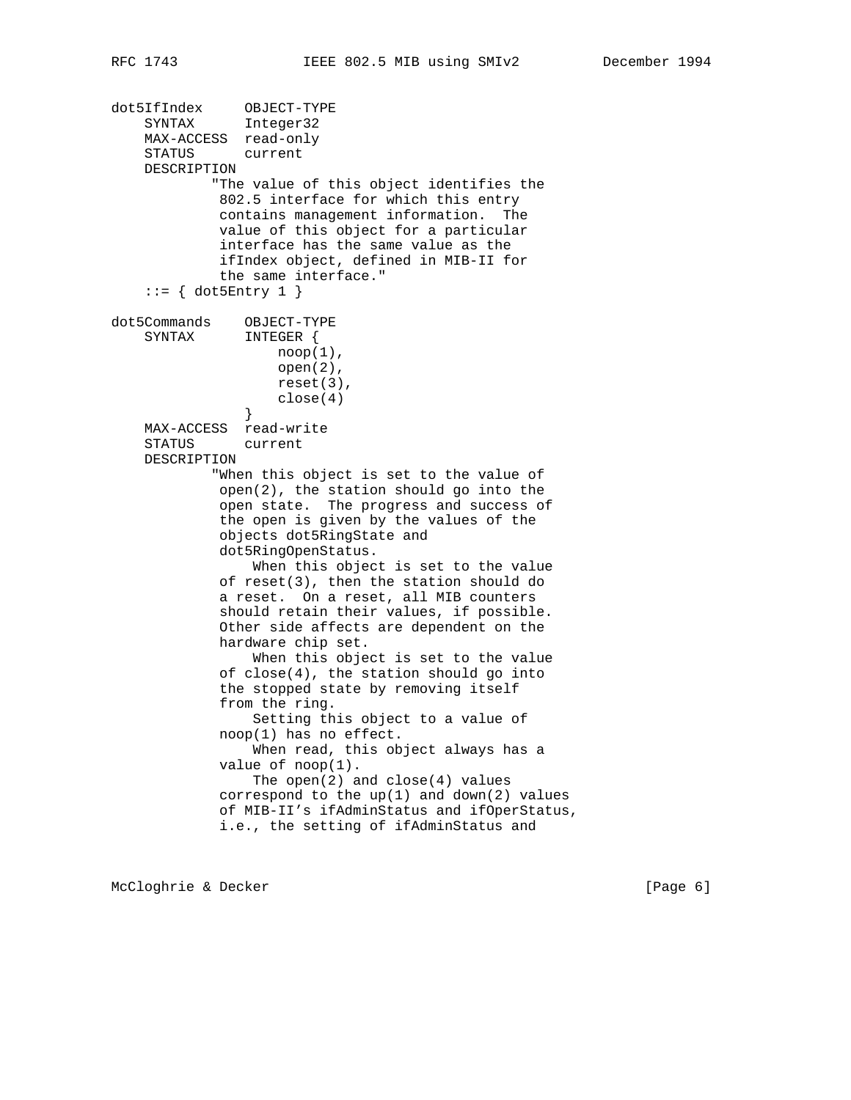dot5IfIndex OBJECT-TYPE SYNTAX Integer32 MAX-ACCESS read-only STATUS current DESCRIPTION "The value of this object identifies the 802.5 interface for which this entry contains management information. The value of this object for a particular interface has the same value as the ifIndex object, defined in MIB-II for the same interface."  $::=$  { dot5Entry 1 } dot5Commands OBJECT-TYPE SYNTAX INTEGER {  $\text{nop}(1)$ , open(2), reset(3),  $close(4)$  } MAX-ACCESS read-write STATUS current DESCRIPTION "When this object is set to the value of open(2), the station should go into the open state. The progress and success of the open is given by the values of the objects dot5RingState and dot5RingOpenStatus. When this object is set to the value of reset(3), then the station should do a reset. On a reset, all MIB counters should retain their values, if possible. Other side affects are dependent on the hardware chip set. When this object is set to the value of close(4), the station should go into the stopped state by removing itself from the ring. Setting this object to a value of noop(1) has no effect. When read, this object always has a value of noop(1). The open(2) and close(4) values correspond to the up(1) and down(2) values of MIB-II's ifAdminStatus and ifOperStatus, i.e., the setting of ifAdminStatus and

McCloghrie & Decker [Page 6]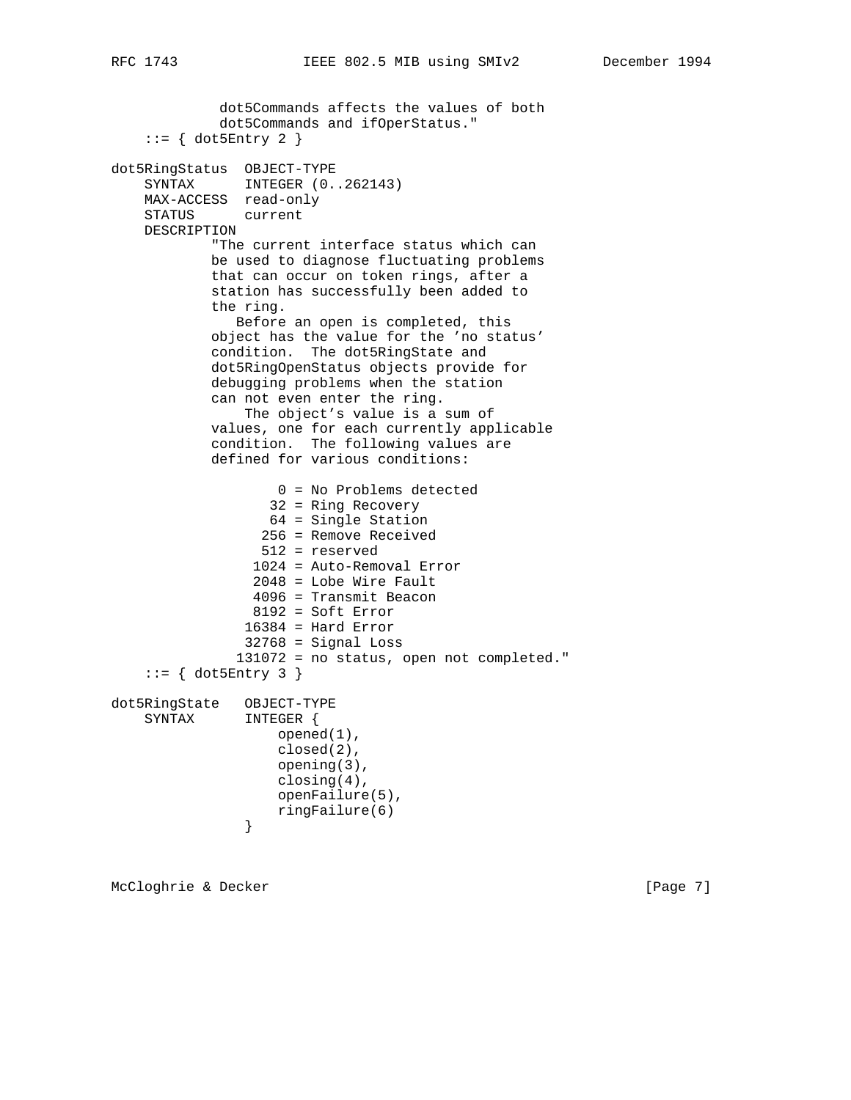dot5Commands affects the values of both dot5Commands and ifOperStatus."  $::=$  { dot5Entry 2 } dot5RingStatus OBJECT-TYPE SYNTAX INTEGER  $(0..262143)$  MAX-ACCESS read-only STATUS current DESCRIPTION "The current interface status which can be used to diagnose fluctuating problems that can occur on token rings, after a station has successfully been added to the ring. Before an open is completed, this object has the value for the 'no status' condition. The dot5RingState and dot5RingOpenStatus objects provide for debugging problems when the station can not even enter the ring. The object's value is a sum of values, one for each currently applicable condition. The following values are defined for various conditions: 0 = No Problems detected 32 = Ring Recovery 64 = Single Station 256 = Remove Received 512 = reserved 1024 = Auto-Removal Error 2048 = Lobe Wire Fault 4096 = Transmit Beacon 8192 = Soft Error  $16384$  = Hard Error 32768 = Signal Loss 131072 = no status, open not completed." ::= { dot5Entry 3 } dot5RingState OBJECT-TYPE SYNTAX INTEGER { opened(1), closed(2), opening(3), closing(4), openFailure(5), ringFailure(6)<br>} }

McCloghrie & Decker [Page 7]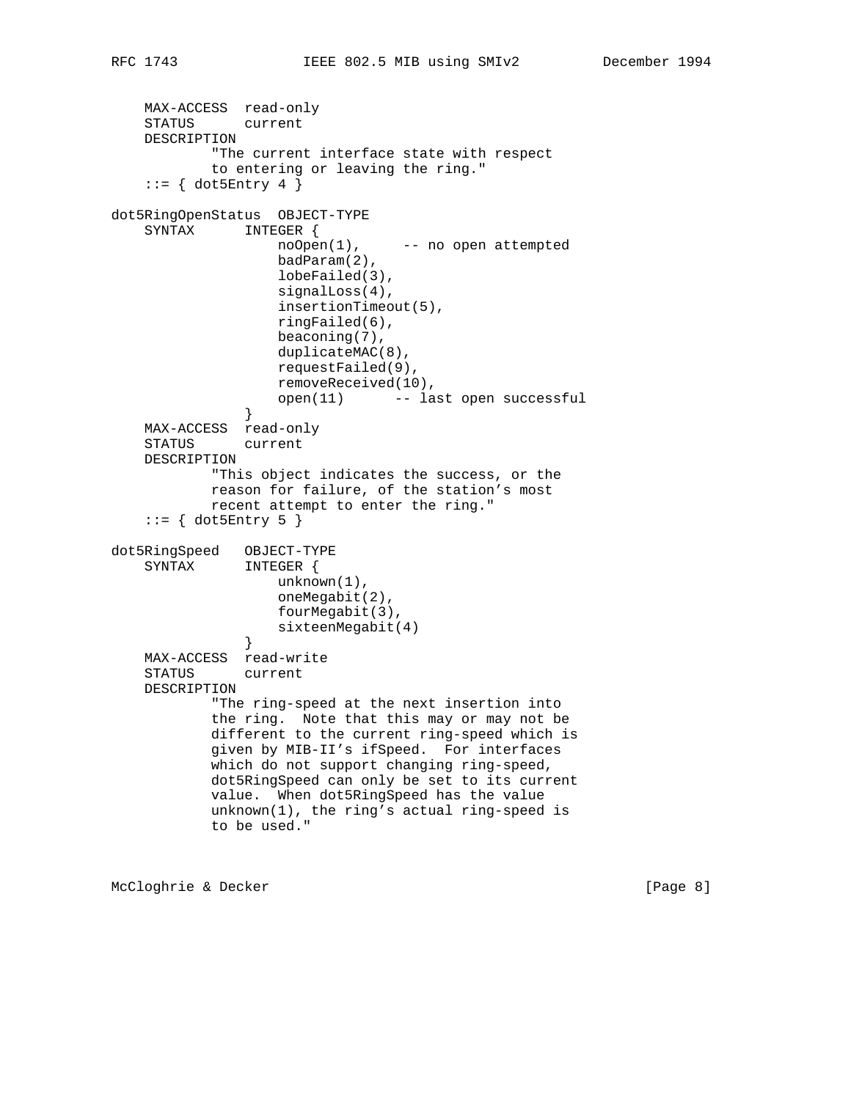```
 MAX-ACCESS read-only
 STATUS current
 DESCRIPTION
         "The current interface state with respect
         to entering or leaving the ring."
```

```
::= { dot5Entry 4 }
dot5RingOpenStatus OBJECT-TYPE
    SYNTAX INTEGER {
                   noOpen(1), -- no open attempted
                    badParam(2),
                    lobeFailed(3),
                    signalLoss(4),
                    insertionTimeout(5),
                    ringFailed(6),
                    beaconing(7),
                    duplicateMAC(8),
                    requestFailed(9),
                    removeReceived(10),
               open(11) -- last open successful<br>}
 }
    MAX-ACCESS read-only
    STATUS current
    DESCRIPTION
            "This object indicates the success, or the
            reason for failure, of the station's most
            recent attempt to enter the ring."
    ::= { dot5Entry 5 }
dot5RingSpeed OBJECT-TYPE
    SYNTAX INTEGER {
                   unknown(1),
                    oneMegabit(2),
                   fourMegabit(3),
               sixteenMegabit(4)<br>}
 }
    MAX-ACCESS read-write
    STATUS current
    DESCRIPTION
            "The ring-speed at the next insertion into
            the ring. Note that this may or may not be
            different to the current ring-speed which is
            given by MIB-II's ifSpeed. For interfaces
            which do not support changing ring-speed,
            dot5RingSpeed can only be set to its current
            value. When dot5RingSpeed has the value
            unknown(1), the ring's actual ring-speed is
            to be used."
```
McCloghrie & Decker [Page 8]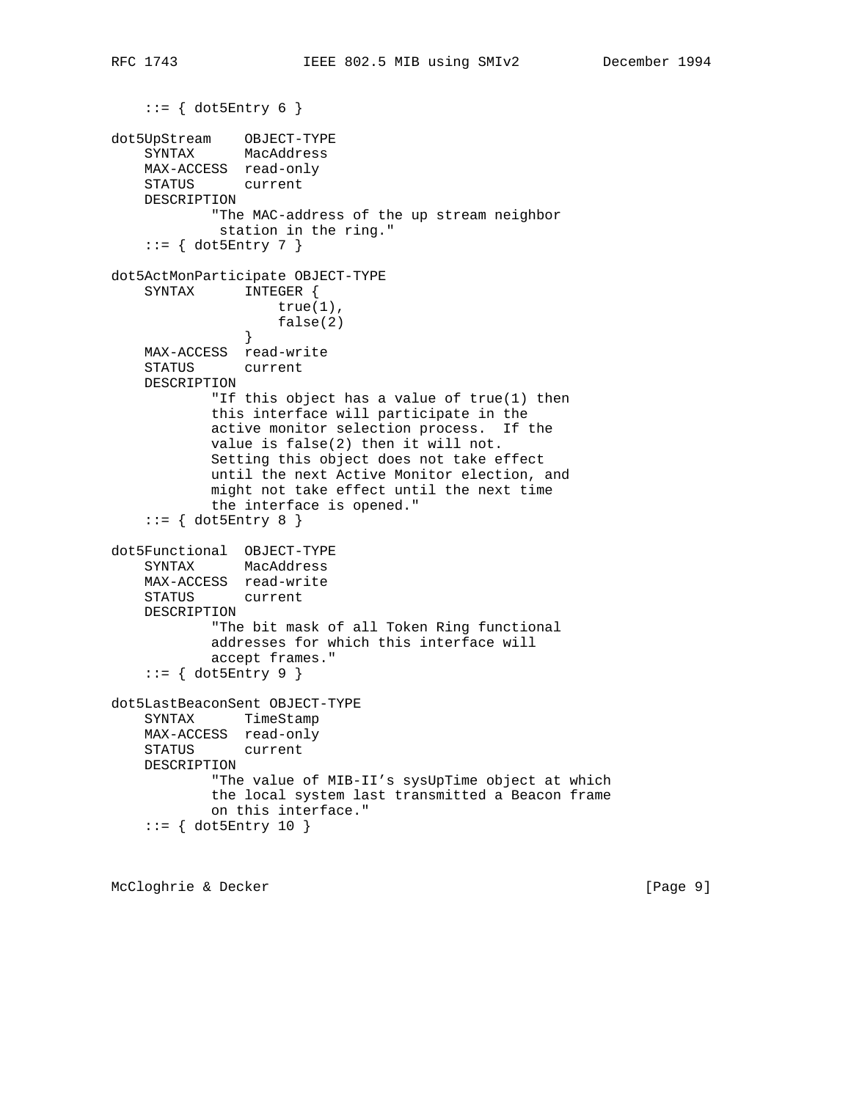```
dot5UpStream OBJECT-TYPE
 SYNTAX MacAddress
    MAX-ACCESS read-only
    STATUS current
    DESCRIPTION
            "The MAC-address of the up stream neighbor
             station in the ring."
    ::= { dot5Entry 7 }
dot5ActMonParticipate OBJECT-TYPE
     SYNTAX INTEGER {
                 true(1),
               false(2) }
    MAX-ACCESS read-write
    STATUS current
    DESCRIPTION
            "If this object has a value of true(1) then
            this interface will participate in the
            active monitor selection process. If the
            value is false(2) then it will not.
            Setting this object does not take effect
            until the next Active Monitor election, and
            might not take effect until the next time
            the interface is opened."
    ::= { dot5Entry 8 }
dot5Functional OBJECT-TYPE
    SYNTAX MacAddress
    MAX-ACCESS read-write
    STATUS current
    DESCRIPTION
            "The bit mask of all Token Ring functional
            addresses for which this interface will
            accept frames."
     ::= { dot5Entry 9 }
dot5LastBeaconSent OBJECT-TYPE
    SYNTAX TimeStamp
    MAX-ACCESS read-only
    STATUS current
    DESCRIPTION
            "The value of MIB-II's sysUpTime object at which
            the local system last transmitted a Beacon frame
            on this interface."
     ::= { dot5Entry 10 }
```
McCloghrie & Decker [Page 9]

 $::=$  { dot5Entry 6 }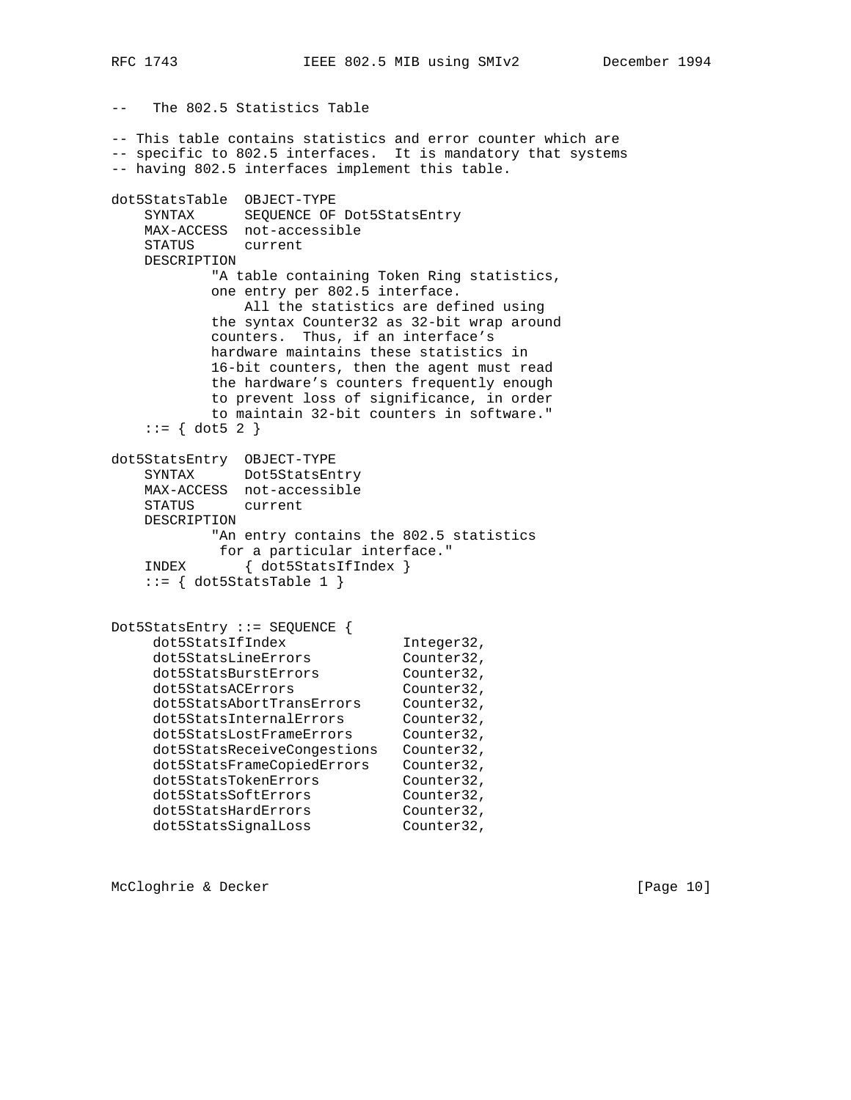-- The 802.5 Statistics Table -- This table contains statistics and error counter which are -- specific to 802.5 interfaces. It is mandatory that systems -- having 802.5 interfaces implement this table. dot5StatsTable OBJECT-TYPE SYNTAX SEQUENCE OF Dot5StatsEntry MAX-ACCESS not-accessible STATUS current DESCRIPTION "A table containing Token Ring statistics, one entry per 802.5 interface. All the statistics are defined using the syntax Counter32 as 32-bit wrap around counters. Thus, if an interface's hardware maintains these statistics in 16-bit counters, then the agent must read the hardware's counters frequently enough to prevent loss of significance, in order to maintain 32-bit counters in software."  $::= \{ dot5 2 \}$ dot5StatsEntry OBJECT-TYPE SYNTAX Dot5StatsEntry MAX-ACCESS not-accessible STATUS current DESCRIPTION "An entry contains the 802.5 statistics for a particular interface." INDEX { dot5StatsIfIndex }  $::=$  { dot5StatsTable 1 } Dot5StatsEntry ::= SEQUENCE { dot5StatsIfIndex Integer32, dot5StatsLineErrors Counter32, dot5StatsBurstErrors Counter32, dot5StatsACErrors Counter32, dot5StatsAbortTransErrors Counter32, dot5StatsInternalErrors Counter32, dot5StatsLostFrameErrors Counter32, dot5StatsReceiveCongestions Counter32, dot5StatsFrameCopiedErrors Counter32, dot5StatsTokenErrors Counter32, dot5StatsSoftErrors Counter32, dot5StatsHardErrors Counter32,

McCloghrie & Decker [Page 10]

dot5StatsSignalLoss Counter32,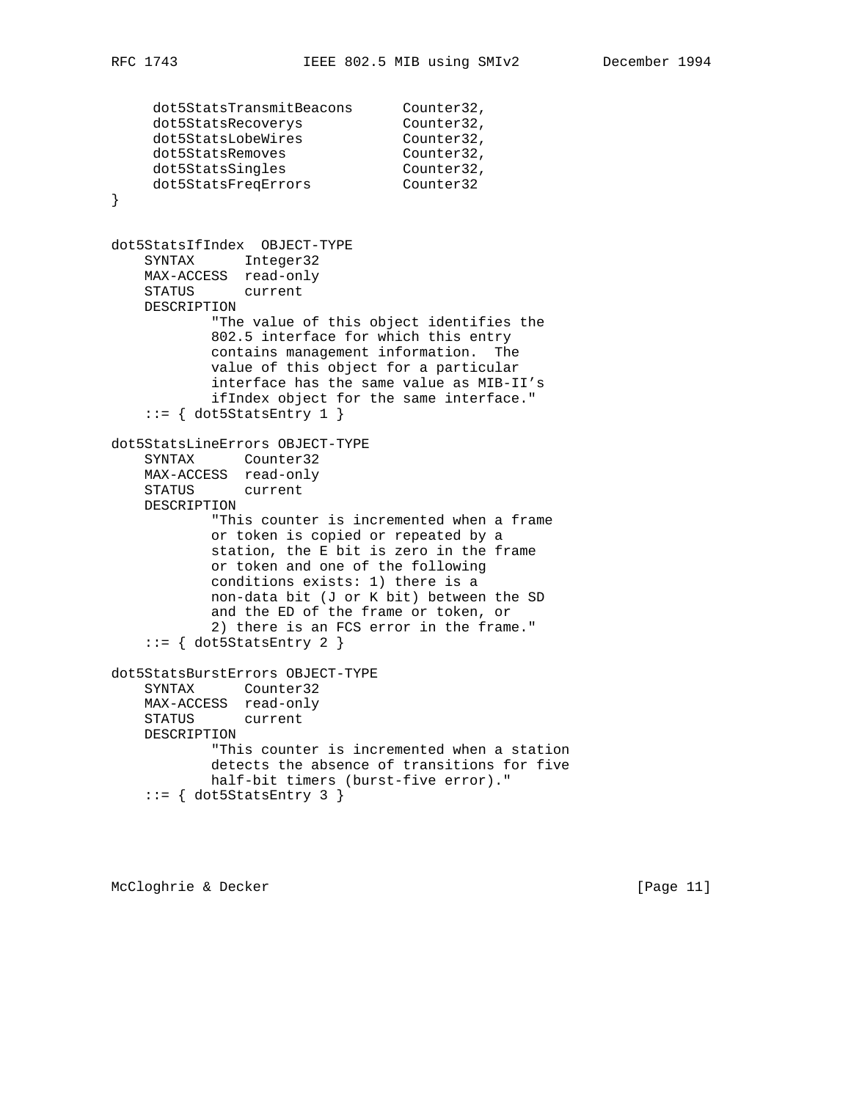```
dot5StatsTransmitBeacons Counter32,<br>dot5StatsRecoverys Counter32,
dot5StatsRecoverys Counter32,
dot5StatsLobeWires Counter32,
dot5StatsRemoves Counter32,
dot5StatsSingles Counter32,
 dot5StatsFreqErrors Counter32
}
dot5StatsIfIndex OBJECT-TYPE
    SYNTAX Integer32
    MAX-ACCESS read-only
    STATUS current
    DESCRIPTION
            "The value of this object identifies the
            802.5 interface for which this entry
            contains management information. The
            value of this object for a particular
            interface has the same value as MIB-II's
            ifIndex object for the same interface."
    ::= { dot5StatsEntry 1 }
dot5StatsLineErrors OBJECT-TYPE
    SYNTAX Counter32
    MAX-ACCESS read-only
    STATUS current
    DESCRIPTION
            "This counter is incremented when a frame
            or token is copied or repeated by a
            station, the E bit is zero in the frame
            or token and one of the following
            conditions exists: 1) there is a
            non-data bit (J or K bit) between the SD
            and the ED of the frame or token, or
            2) there is an FCS error in the frame."
     ::= { dot5StatsEntry 2 }
dot5StatsBurstErrors OBJECT-TYPE
    SYNTAX Counter32
    MAX-ACCESS read-only
    STATUS current
    DESCRIPTION
            "This counter is incremented when a station
            detects the absence of transitions for five
            half-bit timers (burst-five error)."
    ::= { dot5StatsEntry 3 }
```
McCloghrie & Decker [Page 11]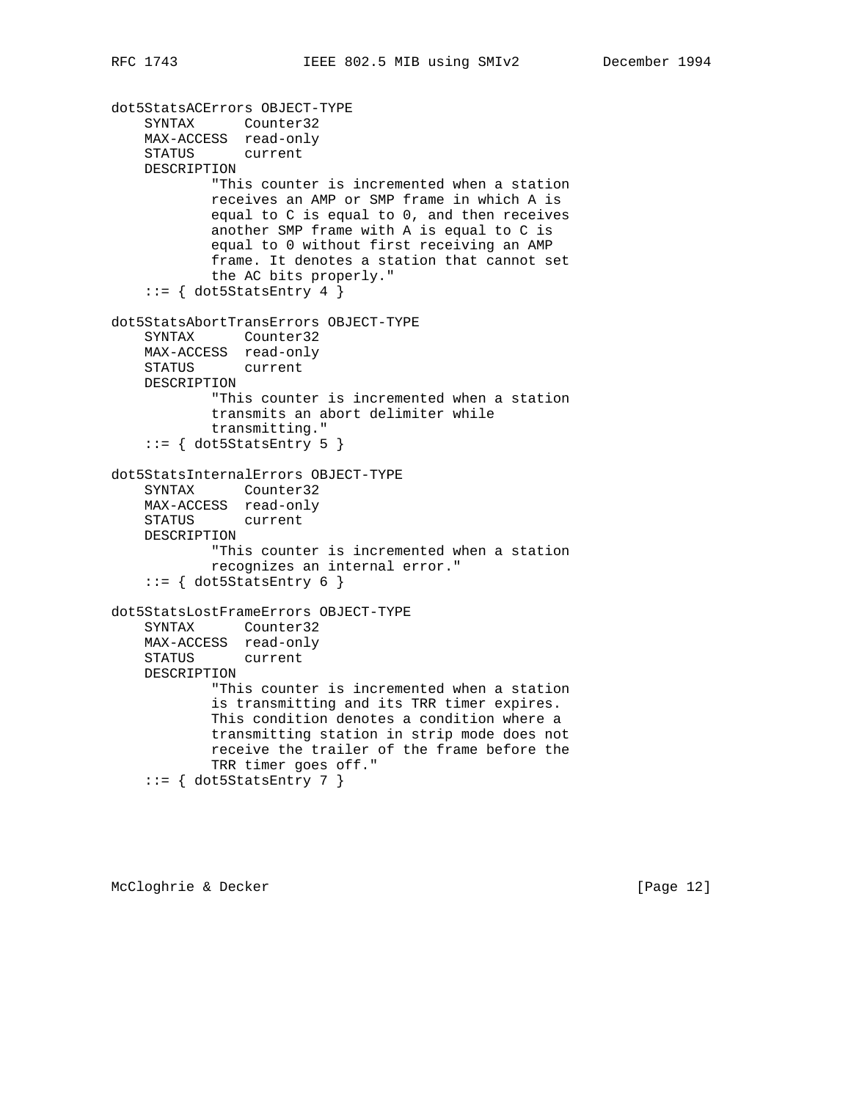```
dot5StatsACErrors OBJECT-TYPE
     SYNTAX Counter32
    MAX-ACCESS read-only
    STATUS current
    DESCRIPTION
            "This counter is incremented when a station
            receives an AMP or SMP frame in which A is
            equal to C is equal to 0, and then receives
            another SMP frame with A is equal to C is
            equal to 0 without first receiving an AMP
            frame. It denotes a station that cannot set
            the AC bits properly."
    ::= { dot5StatsEntry 4 }
dot5StatsAbortTransErrors OBJECT-TYPE
     SYNTAX Counter32
    MAX-ACCESS read-only
    STATUS current
    DESCRIPTION
            "This counter is incremented when a station
            transmits an abort delimiter while
            transmitting."
    ::= \{ dot5StatusEntry 5 \}dot5StatsInternalErrors OBJECT-TYPE
     SYNTAX Counter32
    MAX-ACCESS read-only
    STATUS current
    DESCRIPTION
            "This counter is incremented when a station
            recognizes an internal error."
    ::= { dot5StatsEntry 6 }
dot5StatsLostFrameErrors OBJECT-TYPE
    SYNTAX Counter32
    MAX-ACCESS read-only
    STATUS current
    DESCRIPTION
            "This counter is incremented when a station
            is transmitting and its TRR timer expires.
            This condition denotes a condition where a
            transmitting station in strip mode does not
            receive the trailer of the frame before the
            TRR timer goes off."
    ::= { dot5StatsEntry 7 }
```
McCloghrie & Decker [Page 12]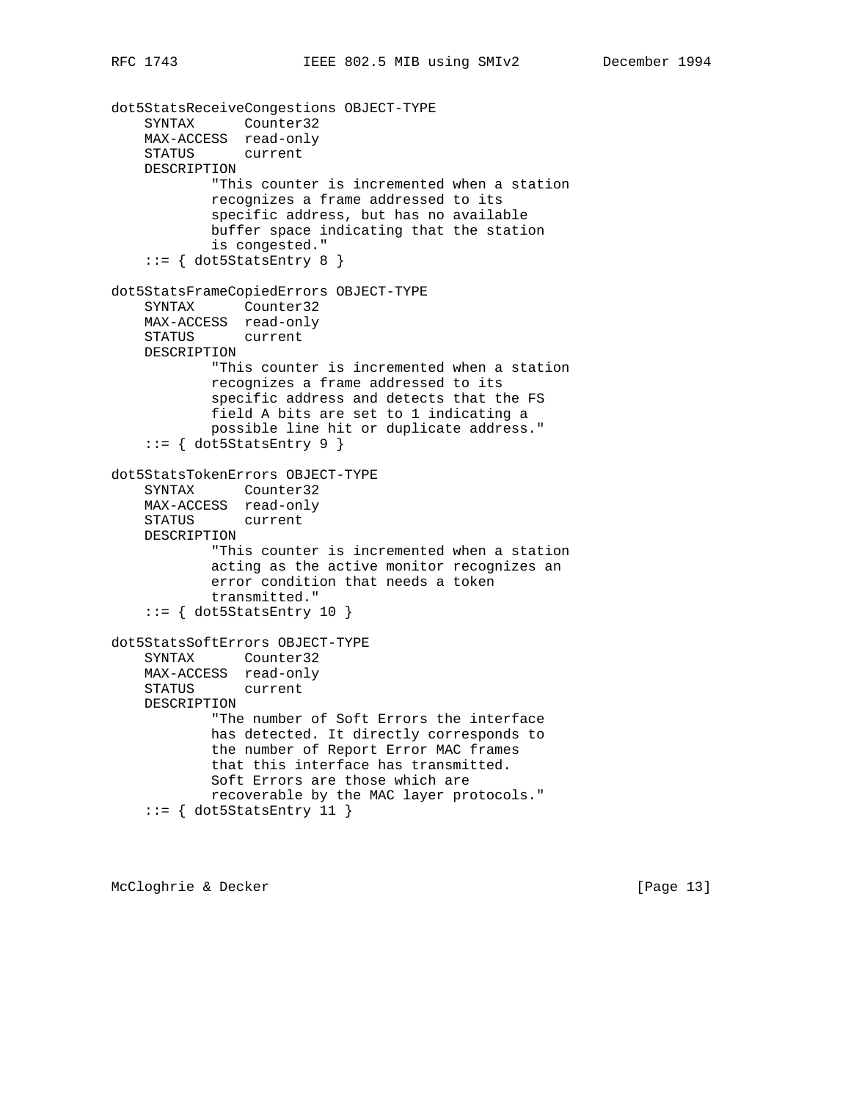```
dot5StatsReceiveCongestions OBJECT-TYPE
     SYNTAX Counter32
    MAX-ACCESS read-only
     STATUS current
    DESCRIPTION
             "This counter is incremented when a station
            recognizes a frame addressed to its
            specific address, but has no available
            buffer space indicating that the station
            is congested."
    ::= \{ dot5StatusEntry 8 \}dot5StatsFrameCopiedErrors OBJECT-TYPE
     SYNTAX Counter32
    MAX-ACCESS read-only
    STATUS current
    DESCRIPTION
            "This counter is incremented when a station
            recognizes a frame addressed to its
             specific address and detects that the FS
            field A bits are set to 1 indicating a
            possible line hit or duplicate address."
    ::= \{ dot5StatusEntry 9 \}dot5StatsTokenErrors OBJECT-TYPE
     SYNTAX Counter32
    MAX-ACCESS read-only
    STATUS current
    DESCRIPTION
            "This counter is incremented when a station
            acting as the active monitor recognizes an
            error condition that needs a token
            transmitted."
     ::= { dot5StatsEntry 10 }
dot5StatsSoftErrors OBJECT-TYPE
    SYNTAX Counter32
    MAX-ACCESS read-only
    STATUS current
    DESCRIPTION
             "The number of Soft Errors the interface
            has detected. It directly corresponds to
            the number of Report Error MAC frames
             that this interface has transmitted.
            Soft Errors are those which are
            recoverable by the MAC layer protocols."
    ::= { dot5StatsEntry 11 }
```
McCloghrie & Decker [Page 13]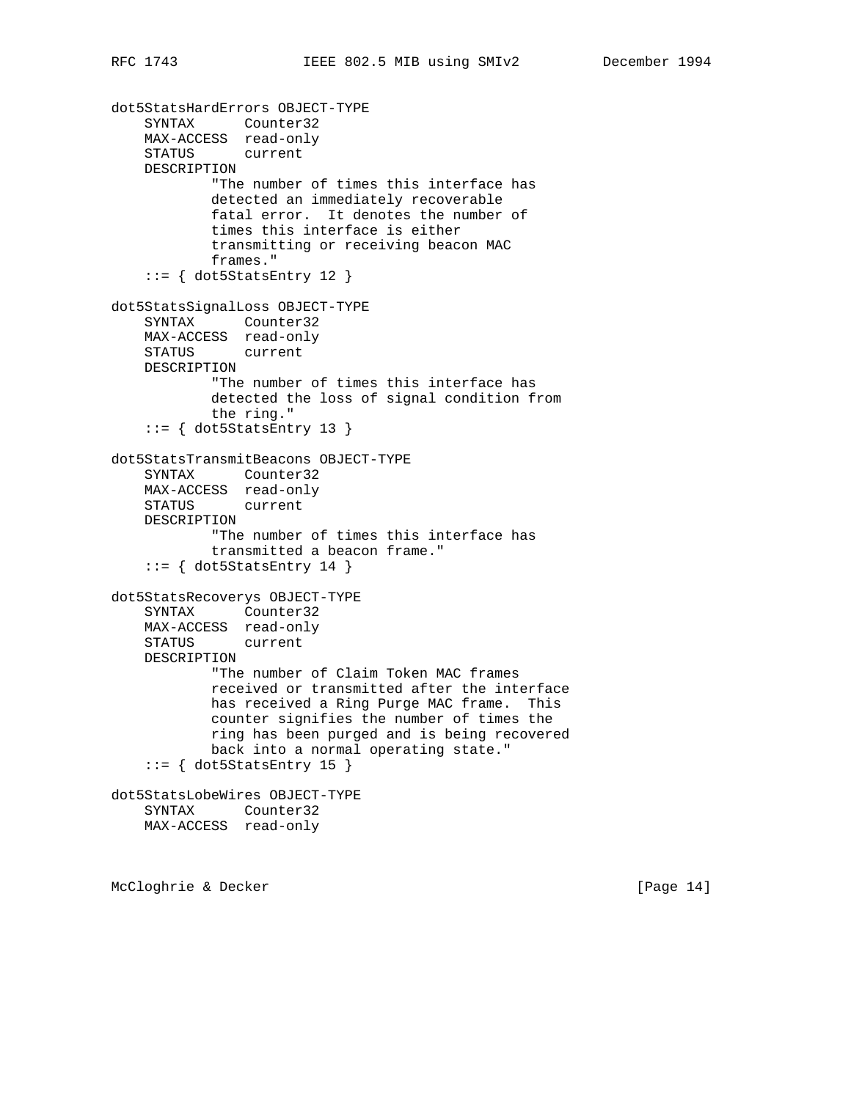```
dot5StatsHardErrors OBJECT-TYPE
     SYNTAX Counter32
    MAX-ACCESS read-only
    STATUS current
    DESCRIPTION
            "The number of times this interface has
            detected an immediately recoverable
            fatal error. It denotes the number of
            times this interface is either
            transmitting or receiving beacon MAC
            frames."
     ::= { dot5StatsEntry 12 }
dot5StatsSignalLoss OBJECT-TYPE
    SYNTAX Counter32
    MAX-ACCESS read-only
    STATUS current
    DESCRIPTION
             "The number of times this interface has
            detected the loss of signal condition from
            the ring."
    ::= { dot5StatsEntry 13 }
dot5StatsTransmitBeacons OBJECT-TYPE
     SYNTAX Counter32
    MAX-ACCESS read-only
    STATUS current
    DESCRIPTION
             "The number of times this interface has
             transmitted a beacon frame."
    ::= { dot5StatsEntry 14 }
dot5StatsRecoverys OBJECT-TYPE
     SYNTAX Counter32
    MAX-ACCESS read-only
    STATUS current
    DESCRIPTION
            "The number of Claim Token MAC frames
            received or transmitted after the interface
            has received a Ring Purge MAC frame. This
            counter signifies the number of times the
            ring has been purged and is being recovered
            back into a normal operating state."
    ::= { dot5StatsEntry 15 }
dot5StatsLobeWires OBJECT-TYPE
    SYNTAX Counter32
    MAX-ACCESS read-only
```
McCloghrie & Decker [Page 14]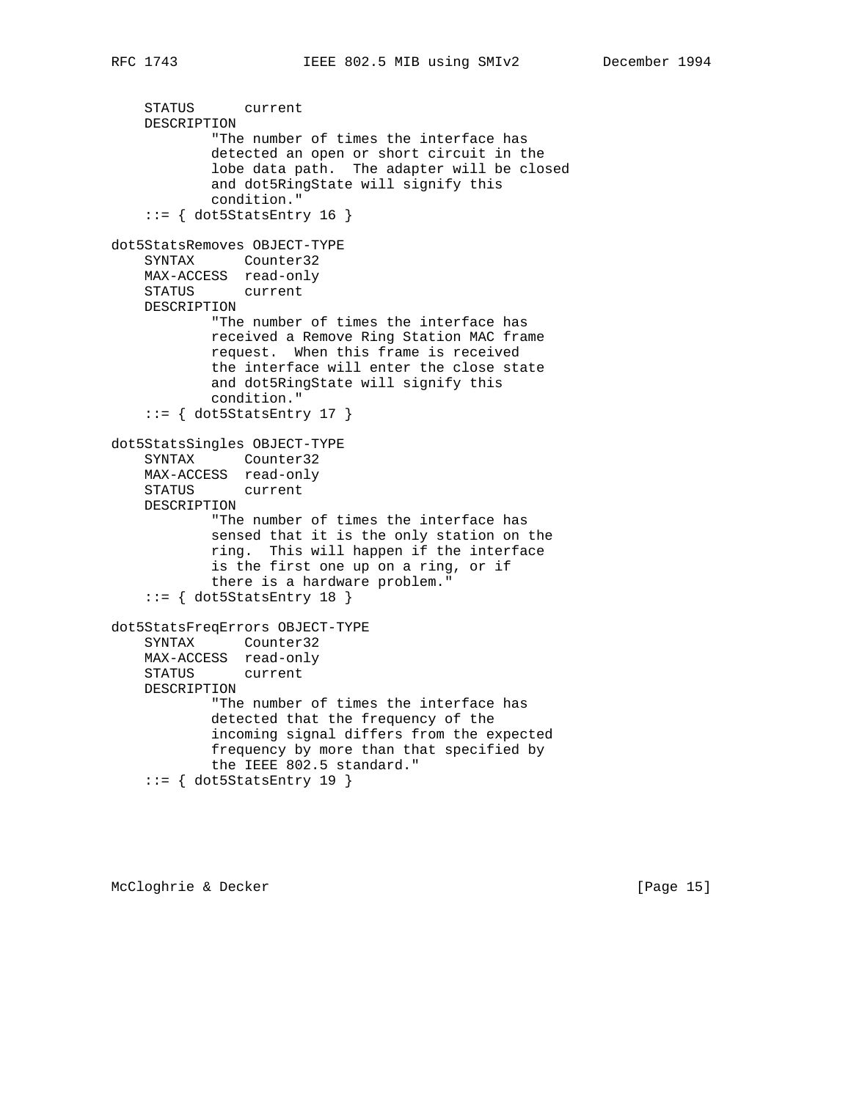```
 STATUS current
    DESCRIPTION
            "The number of times the interface has
             detected an open or short circuit in the
             lobe data path. The adapter will be closed
             and dot5RingState will signify this
             condition."
    ::= { dot5StatsEntry 16 }
dot5StatsRemoves OBJECT-TYPE
     SYNTAX Counter32
    MAX-ACCESS read-only
    STATUS current
    DESCRIPTION
            "The number of times the interface has
            received a Remove Ring Station MAC frame
            request. When this frame is received
             the interface will enter the close state
            and dot5RingState will signify this
             condition."
    ::= { dot5StatsEntry 17 }
dot5StatsSingles OBJECT-TYPE
     SYNTAX Counter32
    MAX-ACCESS read-only
    STATUS current
    DESCRIPTION
            "The number of times the interface has
             sensed that it is the only station on the
            ring. This will happen if the interface
            is the first one up on a ring, or if
            there is a hardware problem."
     ::= { dot5StatsEntry 18 }
dot5StatsFreqErrors OBJECT-TYPE
    SYNTAX Counter32
    MAX-ACCESS read-only
    STATUS current
    DESCRIPTION
             "The number of times the interface has
             detected that the frequency of the
             incoming signal differs from the expected
             frequency by more than that specified by
             the IEEE 802.5 standard."
    ::= { dot5StatsEntry 19 }
```
McCloghrie & Decker [Page 15]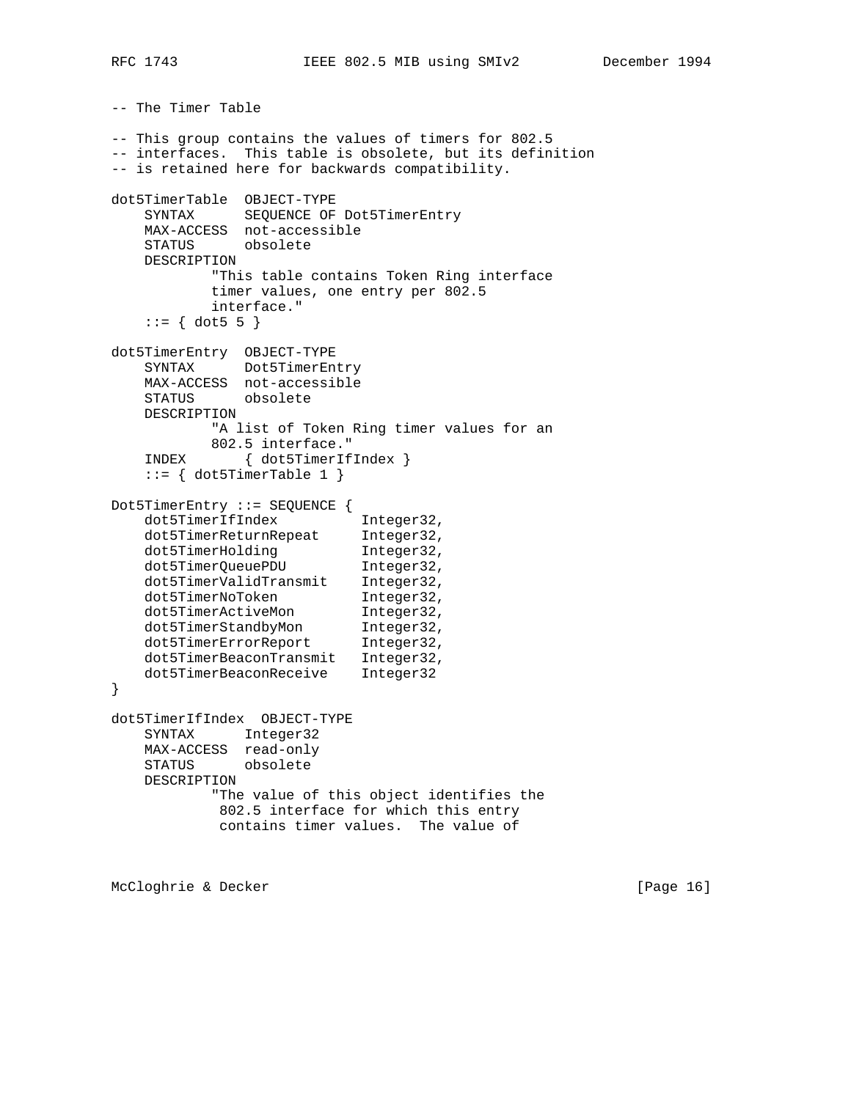-- The Timer Table

-- This group contains the values of timers for 802.5 -- interfaces. This table is obsolete, but its definition -- is retained here for backwards compatibility. dot5TimerTable OBJECT-TYPE SYNTAX SEQUENCE OF Dot5TimerEntry MAX-ACCESS not-accessible STATUS obsolete DESCRIPTION "This table contains Token Ring interface timer values, one entry per 802.5 interface."  $::= \{ dot5 5 \}$ dot5TimerEntry OBJECT-TYPE SYNTAX Dot5TimerEntry MAX-ACCESS not-accessible STATUS obsolete DESCRIPTION "A list of Token Ring timer values for an 802.5 interface." INDEX { dot5TimerIfIndex }  $::=$  { dot5TimerTable 1 } Dot5TimerEntry ::= SEQUENCE { dot5TimerIfIndex Integer32, dot5TimerReturnRepeat Integer32, dot5TimerHolding 1nteger32, dot5TimerQueuePDU Integer32, dot5TimerValidTransmit Integer32, dot5TimerNoToken 1nteger32, dot5TimerActiveMon Integer32, dot5TimerStandbyMon Integer32, dot5TimerErrorReport Integer32, dot5TimerBeaconTransmit Integer32, dot5TimerBeaconReceive Integer32 } dot5TimerIfIndex OBJECT-TYPE SYNTAX Integer32 MAX-ACCESS read-only STATUS obsolete DESCRIPTION "The value of this object identifies the 802.5 interface for which this entry contains timer values. The value of

McCloghrie & Decker [Page 16]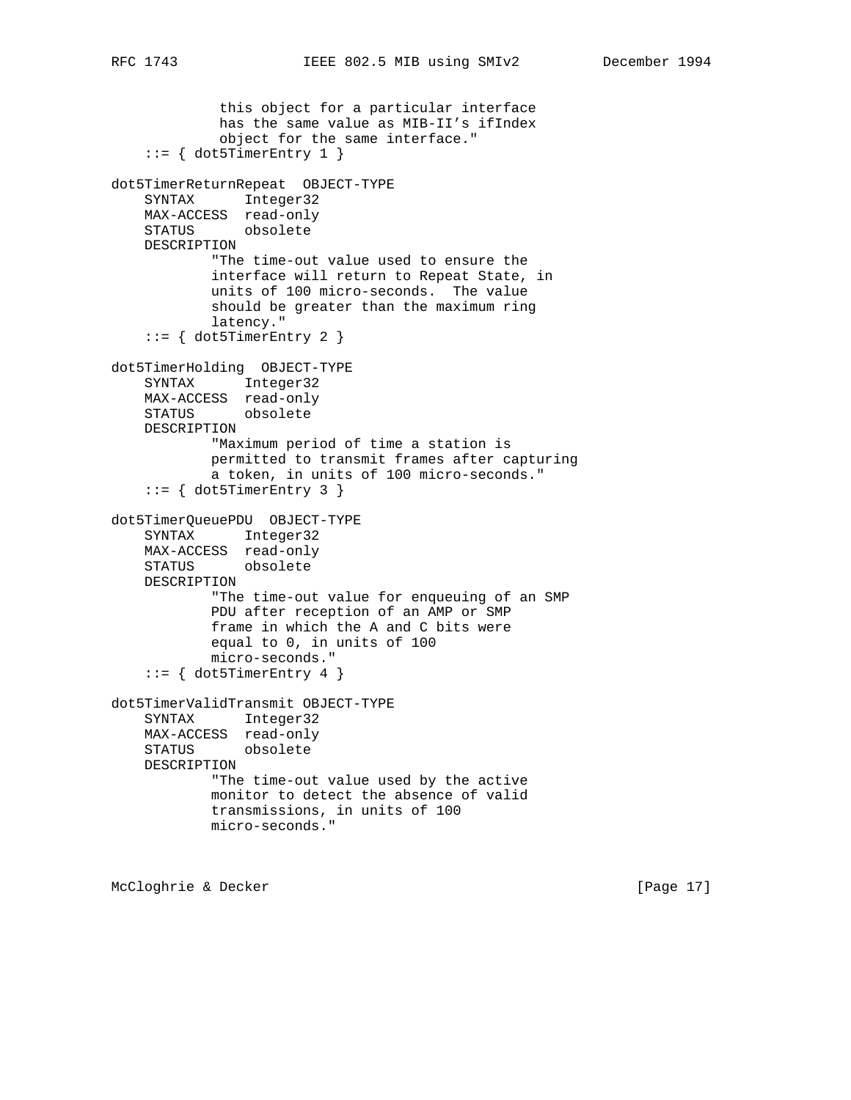```
 this object for a particular interface
             has the same value as MIB-II's ifIndex
             object for the same interface."
    ::= { dot5TimerEntry 1 }
dot5TimerReturnRepeat OBJECT-TYPE
     SYNTAX Integer32
    MAX-ACCESS read-only
    STATUS obsolete
    DESCRIPTION
            "The time-out value used to ensure the
            interface will return to Repeat State, in
            units of 100 micro-seconds. The value
            should be greater than the maximum ring
            latency."
     ::= { dot5TimerEntry 2 }
dot5TimerHolding OBJECT-TYPE
    SYNTAX Integer32
    MAX-ACCESS read-only
    STATUS obsolete
    DESCRIPTION
             "Maximum period of time a station is
            permitted to transmit frames after capturing
            a token, in units of 100 micro-seconds."
    ::= { dot5TimerEntry 3 }
dot5TimerQueuePDU OBJECT-TYPE
     SYNTAX Integer32
    MAX-ACCESS read-only
    STATUS obsolete
    DESCRIPTION
            "The time-out value for enqueuing of an SMP
            PDU after reception of an AMP or SMP
            frame in which the A and C bits were
            equal to 0, in units of 100
            micro-seconds."
    ::= { dot5TimerEntry 4 }
dot5TimerValidTransmit OBJECT-TYPE
     SYNTAX Integer32
    MAX-ACCESS read-only
    STATUS obsolete
    DESCRIPTION
            "The time-out value used by the active
            monitor to detect the absence of valid
            transmissions, in units of 100
            micro-seconds."
```
McCloghrie & Decker [Page 17]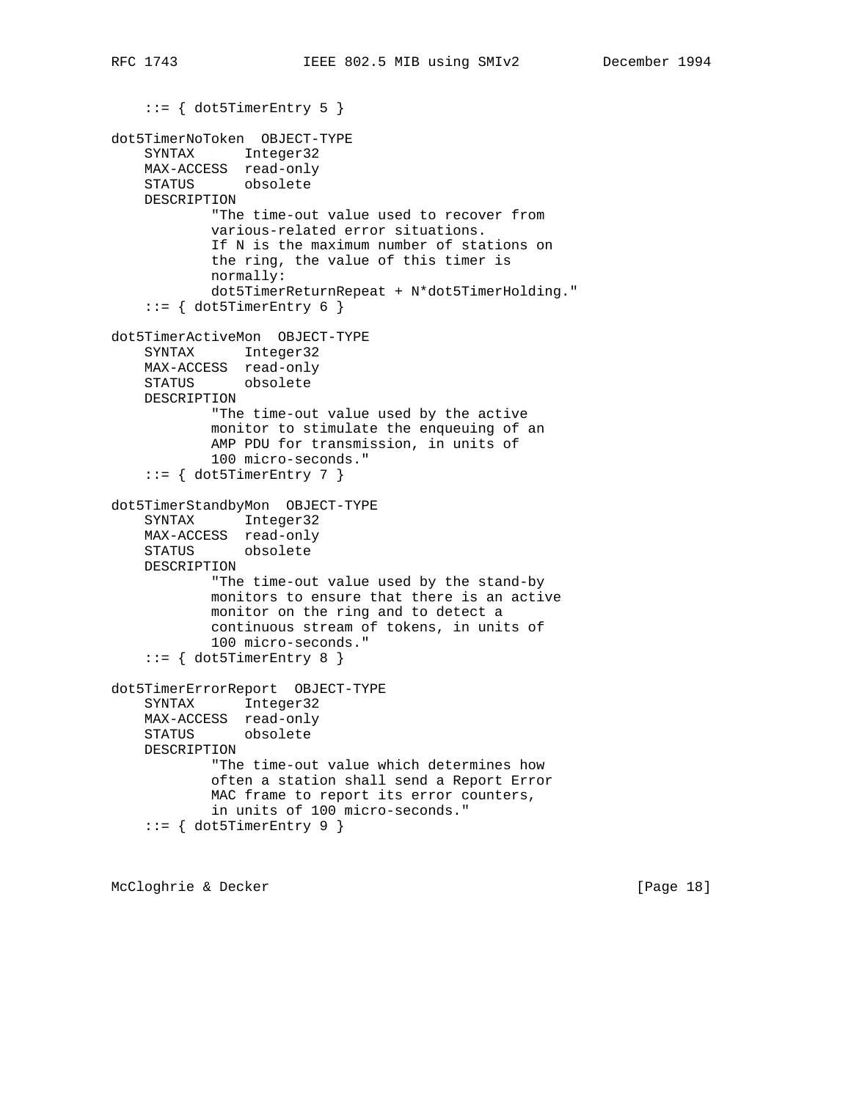```
 ::= { dot5TimerEntry 5 }
dot5TimerNoToken OBJECT-TYPE
     SYNTAX Integer32
    MAX-ACCESS read-only
    STATUS obsolete
    DESCRIPTION
            "The time-out value used to recover from
            various-related error situations.
            If N is the maximum number of stations on
            the ring, the value of this timer is
            normally:
            dot5TimerReturnRepeat + N*dot5TimerHolding."
    ::= \{ dot5TimerEntry 6 \}dot5TimerActiveMon OBJECT-TYPE
    SYNTAX Integer32
    MAX-ACCESS read-only
    STATUS obsolete
    DESCRIPTION
            "The time-out value used by the active
            monitor to stimulate the enqueuing of an
            AMP PDU for transmission, in units of
            100 micro-seconds."
    ::= { dot5TimerEntry 7 }
dot5TimerStandbyMon OBJECT-TYPE
     SYNTAX Integer32
    MAX-ACCESS read-only
    STATUS obsolete
    DESCRIPTION
            "The time-out value used by the stand-by
            monitors to ensure that there is an active
            monitor on the ring and to detect a
            continuous stream of tokens, in units of
            100 micro-seconds."
     ::= { dot5TimerEntry 8 }
dot5TimerErrorReport OBJECT-TYPE
    SYNTAX Integer32
    MAX-ACCESS read-only
    STATUS obsolete
    DESCRIPTION
             "The time-out value which determines how
            often a station shall send a Report Error
            MAC frame to report its error counters,
            in units of 100 micro-seconds."
    ::= { dot5TimerEntry 9 }
```
McCloghrie & Decker [Page 18]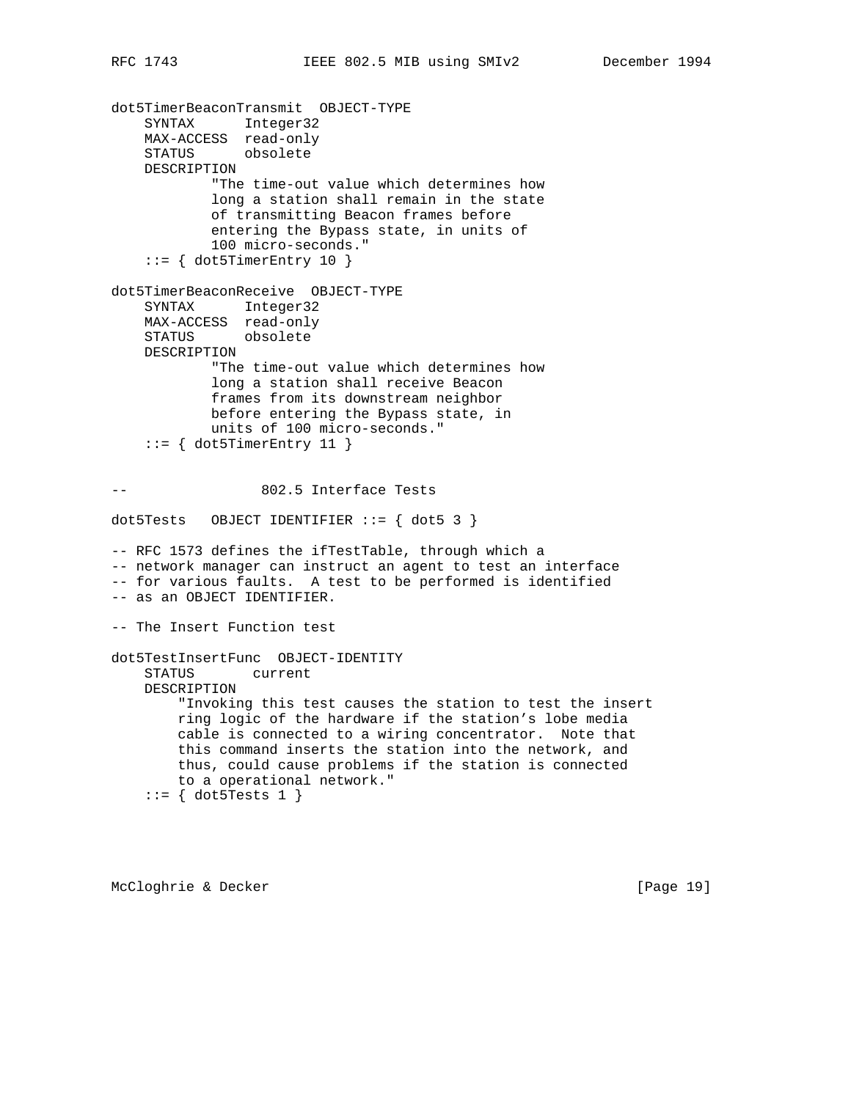dot5TimerBeaconTransmit OBJECT-TYPE SYNTAX Integer32 MAX-ACCESS read-only STATUS obsolete DESCRIPTION "The time-out value which determines how long a station shall remain in the state of transmitting Beacon frames before entering the Bypass state, in units of 100 micro-seconds."  $::=$  { dot5TimerEntry 10 } dot5TimerBeaconReceive OBJECT-TYPE SYNTAX Integer32 MAX-ACCESS read-only STATUS obsolete DESCRIPTION "The time-out value which determines how long a station shall receive Beacon frames from its downstream neighbor before entering the Bypass state, in units of 100 micro-seconds."  $::=$  { dot5TimerEntry 11 } -- 802.5 Interface Tests dot5Tests OBJECT IDENTIFIER  $::=$  { dot5 3 } -- RFC 1573 defines the ifTestTable, through which a -- network manager can instruct an agent to test an interface -- for various faults. A test to be performed is identified -- as an OBJECT IDENTIFIER. -- The Insert Function test dot5TestInsertFunc OBJECT-IDENTITY STATUS current DESCRIPTION "Invoking this test causes the station to test the insert ring logic of the hardware if the station's lobe media cable is connected to a wiring concentrator. Note that this command inserts the station into the network, and thus, could cause problems if the station is connected to a operational network."  $::=$  { dot5Tests 1 }

McCloghrie & Decker [Page 19]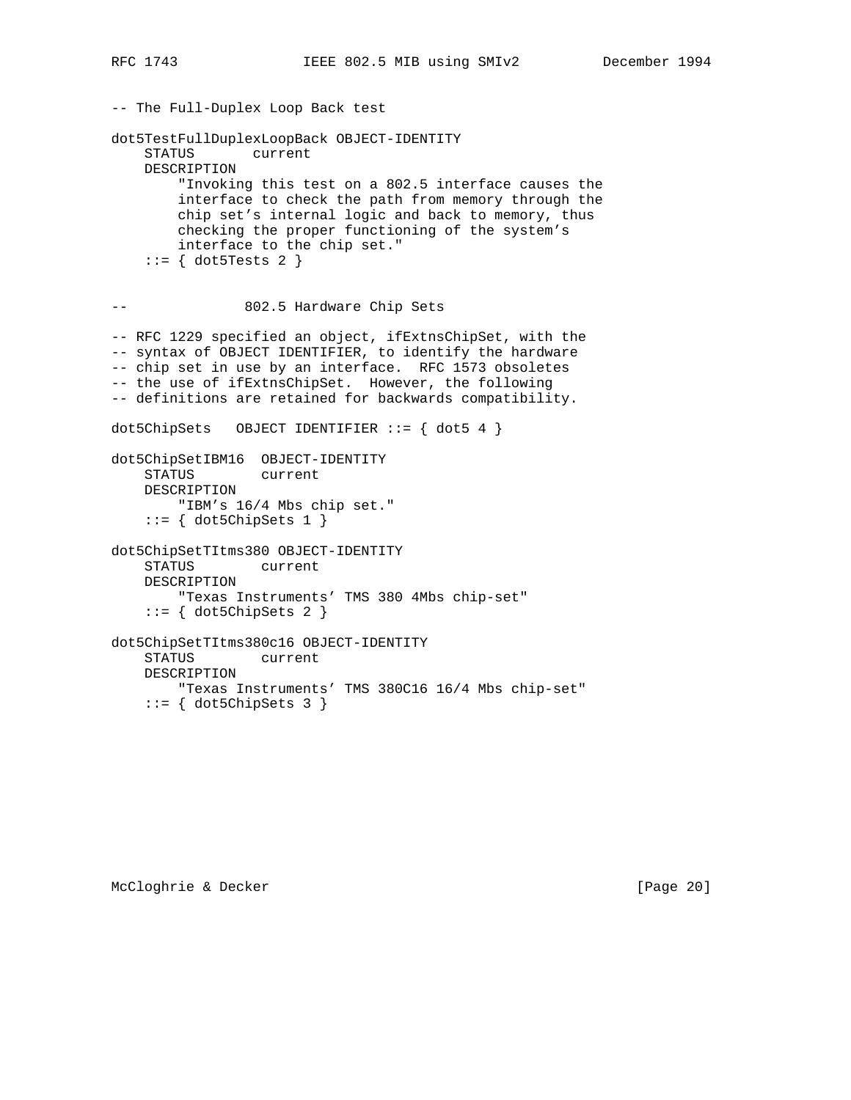-- The Full-Duplex Loop Back test dot5TestFullDuplexLoopBack OBJECT-IDENTITY STATUS current DESCRIPTION "Invoking this test on a 802.5 interface causes the interface to check the path from memory through the chip set's internal logic and back to memory, thus checking the proper functioning of the system's interface to the chip set." ::= { dot5Tests 2 } -- 802.5 Hardware Chip Sets -- RFC 1229 specified an object, ifExtnsChipSet, with the -- syntax of OBJECT IDENTIFIER, to identify the hardware -- chip set in use by an interface. RFC 1573 obsoletes -- the use of ifExtnsChipSet. However, the following -- definitions are retained for backwards compatibility. dot5ChipSets OBJECT IDENTIFIER  $::=$  { dot5 4 } dot5ChipSetIBM16 OBJECT-IDENTITY STATUS current DESCRIPTION "IBM's 16/4 Mbs chip set."  $::=$  { dot5ChipSets 1 } dot5ChipSetTItms380 OBJECT-IDENTITY STATUS current DESCRIPTION "Texas Instruments' TMS 380 4Mbs chip-set"  $::=$  { dot5ChipSets 2 } dot5ChipSetTItms380c16 OBJECT-IDENTITY STATUS current DESCRIPTION "Texas Instruments' TMS 380C16 16/4 Mbs chip-set"  $::=$  { dot5ChipSets 3 }

McCloghrie & Decker [Page 20]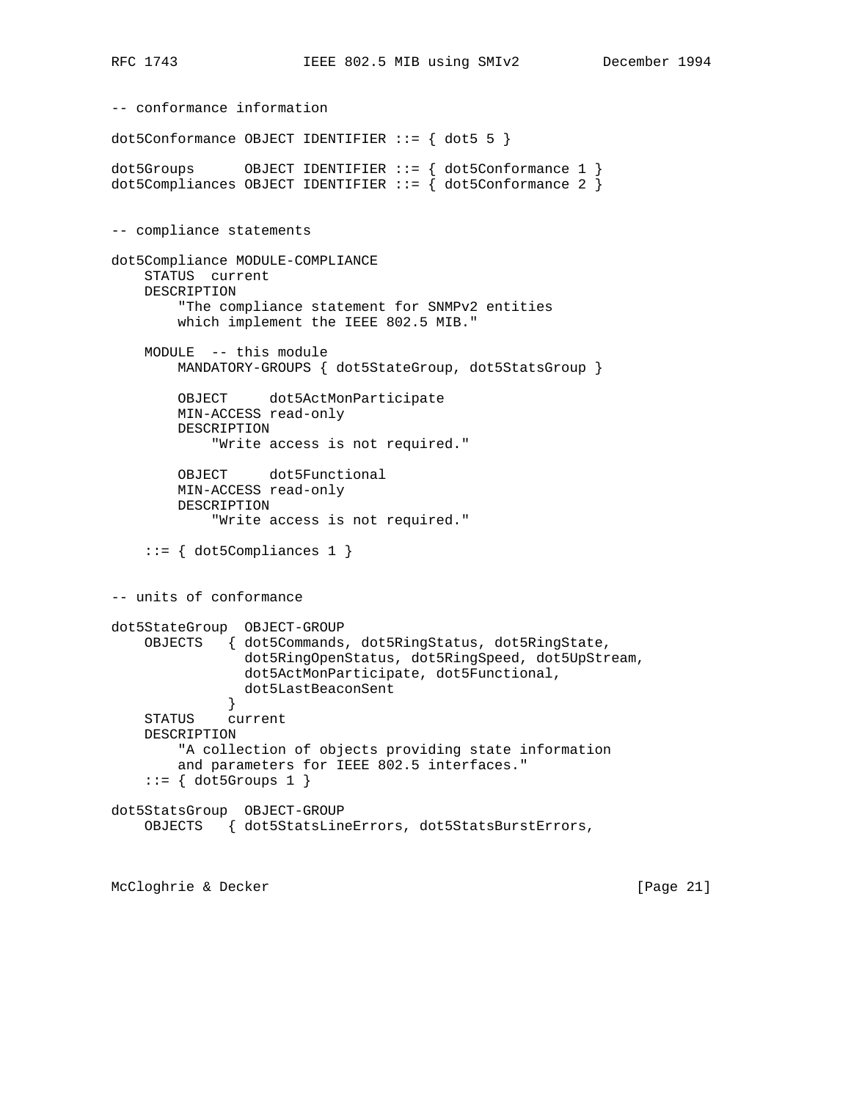-- conformance information dot5Conformance OBJECT IDENTIFIER  $::=$  { dot5 5 } dot5Groups OBJECT IDENTIFIER ::= { dot5Conformance 1 } dot5Compliances OBJECT IDENTIFIER  $::=$   $\{$  dot5Conformance 2  $\}$ -- compliance statements dot5Compliance MODULE-COMPLIANCE STATUS current DESCRIPTION "The compliance statement for SNMPv2 entities which implement the IEEE 802.5 MIB." MODULE -- this module MANDATORY-GROUPS { dot5StateGroup, dot5StatsGroup } OBJECT dot5ActMonParticipate MIN-ACCESS read-only DESCRIPTION "Write access is not required." OBJECT dot5Functional MIN-ACCESS read-only DESCRIPTION "Write access is not required."  $::=$  { dot5Compliances 1 } -- units of conformance dot5StateGroup OBJECT-GROUP OBJECTS { dot5Commands, dot5RingStatus, dot5RingState, dot5RingOpenStatus, dot5RingSpeed, dot5UpStream, dot5ActMonParticipate, dot5Functional, dot5LastBeaconSent } STATUS current DESCRIPTION "A collection of objects providing state information and parameters for IEEE 802.5 interfaces."  $::=$  { dot5Groups 1 } dot5StatsGroup OBJECT-GROUP OBJECTS { dot5StatsLineErrors, dot5StatsBurstErrors,

McCloghrie & Decker [Page 21]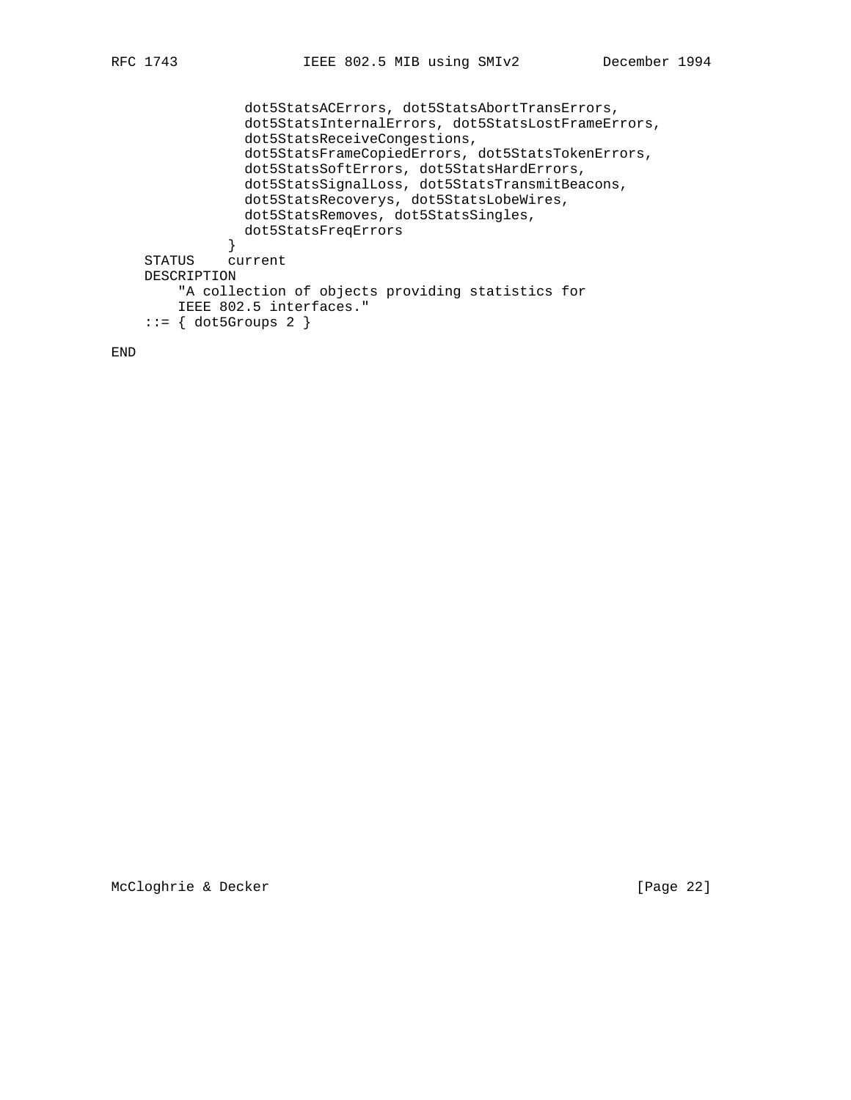```
 dot5StatsACErrors, dot5StatsAbortTransErrors,
                dot5StatsInternalErrors, dot5StatsLostFrameErrors,
                dot5StatsReceiveCongestions,
                dot5StatsFrameCopiedErrors, dot5StatsTokenErrors,
                dot5StatsSoftErrors, dot5StatsHardErrors,
                dot5StatsSignalLoss, dot5StatsTransmitBeacons,
                dot5StatsRecoverys, dot5StatsLobeWires,
                dot5StatsRemoves, dot5StatsSingles,
                dot5StatsFreqErrors
 }
    STATUS current
    DESCRIPTION
        "A collection of objects providing statistics for
        IEEE 802.5 interfaces."
   ::= { dot5Groups 2 }
```
END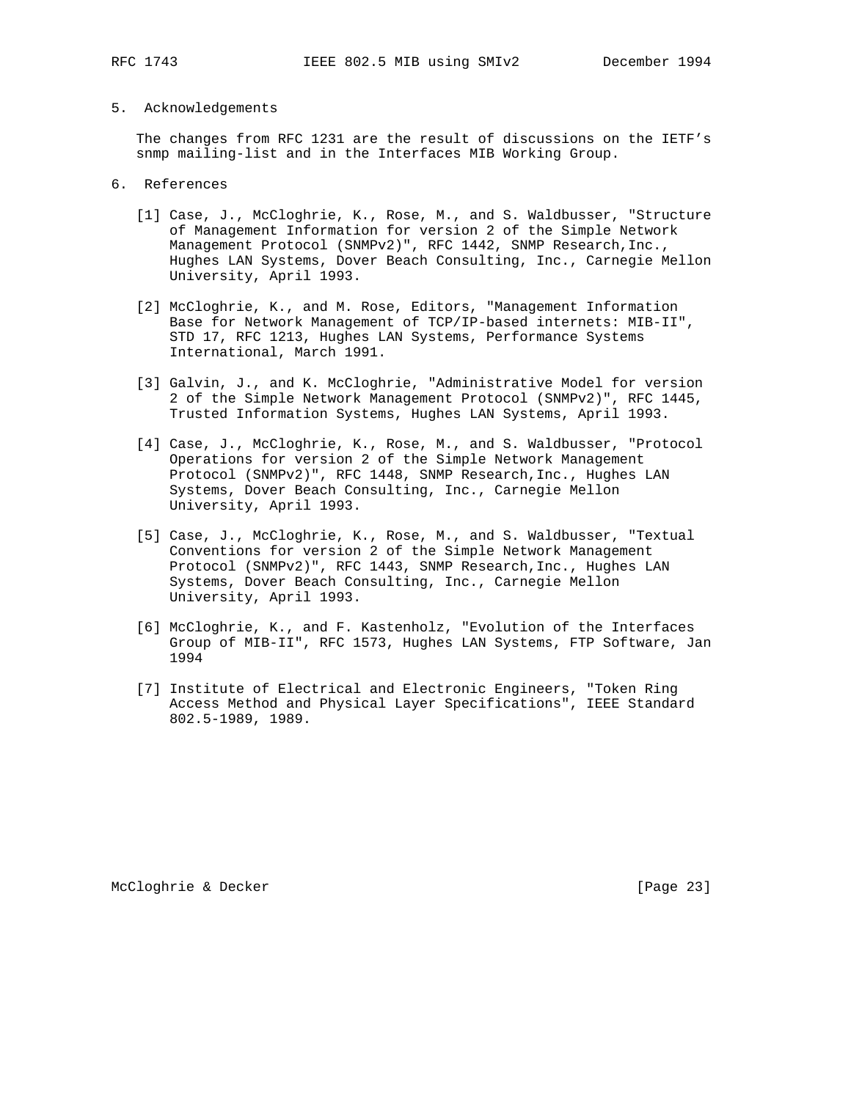## 5. Acknowledgements

 The changes from RFC 1231 are the result of discussions on the IETF's snmp mailing-list and in the Interfaces MIB Working Group.

- 6. References
	- [1] Case, J., McCloghrie, K., Rose, M., and S. Waldbusser, "Structure of Management Information for version 2 of the Simple Network Management Protocol (SNMPv2)", RFC 1442, SNMP Research, Inc., Hughes LAN Systems, Dover Beach Consulting, Inc., Carnegie Mellon University, April 1993.
	- [2] McCloghrie, K., and M. Rose, Editors, "Management Information Base for Network Management of TCP/IP-based internets: MIB-II", STD 17, RFC 1213, Hughes LAN Systems, Performance Systems International, March 1991.
	- [3] Galvin, J., and K. McCloghrie, "Administrative Model for version 2 of the Simple Network Management Protocol (SNMPv2)", RFC 1445, Trusted Information Systems, Hughes LAN Systems, April 1993.
	- [4] Case, J., McCloghrie, K., Rose, M., and S. Waldbusser, "Protocol Operations for version 2 of the Simple Network Management Protocol (SNMPv2)", RFC 1448, SNMP Research,Inc., Hughes LAN Systems, Dover Beach Consulting, Inc., Carnegie Mellon University, April 1993.
	- [5] Case, J., McCloghrie, K., Rose, M., and S. Waldbusser, "Textual Conventions for version 2 of the Simple Network Management Protocol (SNMPv2)", RFC 1443, SNMP Research,Inc., Hughes LAN Systems, Dover Beach Consulting, Inc., Carnegie Mellon University, April 1993.
	- [6] McCloghrie, K., and F. Kastenholz, "Evolution of the Interfaces Group of MIB-II", RFC 1573, Hughes LAN Systems, FTP Software, Jan 1994
	- [7] Institute of Electrical and Electronic Engineers, "Token Ring Access Method and Physical Layer Specifications", IEEE Standard 802.5-1989, 1989.

McCloghrie & Decker [Page 23]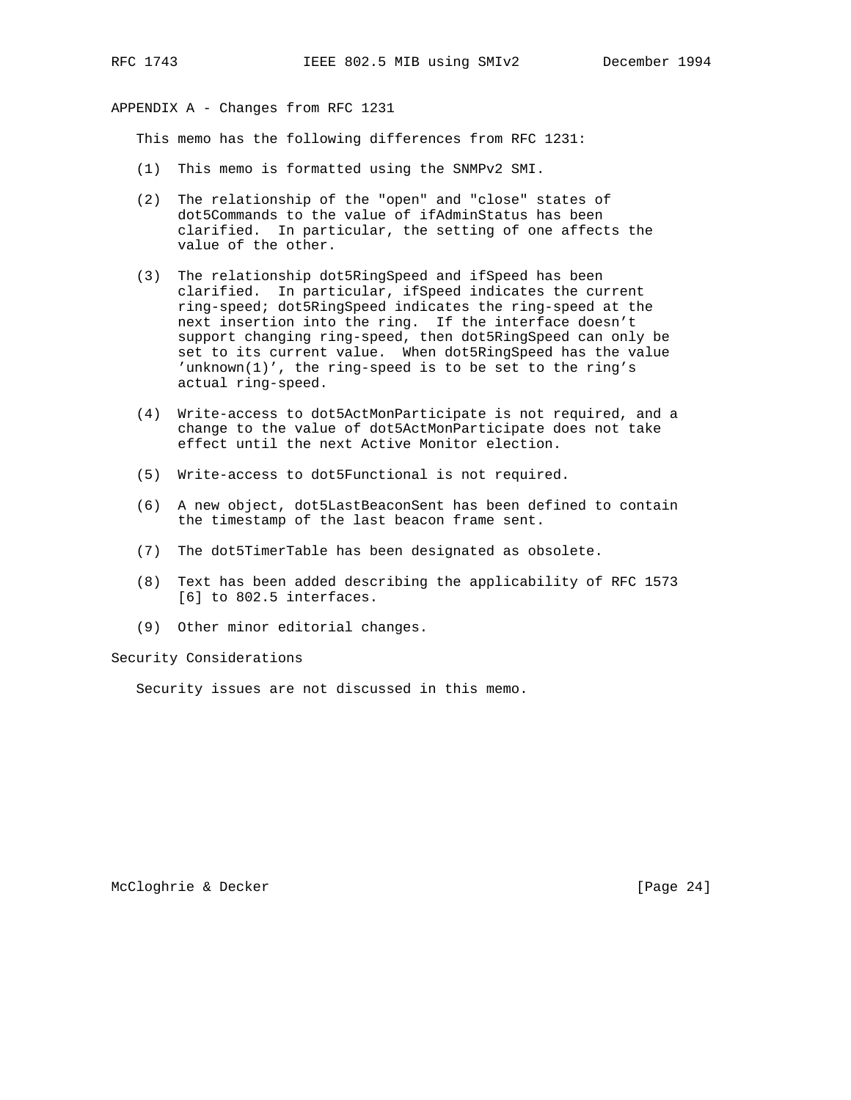APPENDIX A - Changes from RFC 1231

This memo has the following differences from RFC 1231:

- (1) This memo is formatted using the SNMPv2 SMI.
- (2) The relationship of the "open" and "close" states of dot5Commands to the value of ifAdminStatus has been clarified. In particular, the setting of one affects the value of the other.
- (3) The relationship dot5RingSpeed and ifSpeed has been clarified. In particular, ifSpeed indicates the current ring-speed; dot5RingSpeed indicates the ring-speed at the next insertion into the ring. If the interface doesn't support changing ring-speed, then dot5RingSpeed can only be set to its current value. When dot5RingSpeed has the value 'unknown(1)', the ring-speed is to be set to the ring's actual ring-speed.
- (4) Write-access to dot5ActMonParticipate is not required, and a change to the value of dot5ActMonParticipate does not take effect until the next Active Monitor election.
- (5) Write-access to dot5Functional is not required.
- (6) A new object, dot5LastBeaconSent has been defined to contain the timestamp of the last beacon frame sent.
- (7) The dot5TimerTable has been designated as obsolete.
- (8) Text has been added describing the applicability of RFC 1573 [6] to 802.5 interfaces.
- (9) Other minor editorial changes.

Security Considerations

Security issues are not discussed in this memo.

McCloghrie & Decker [Page 24]